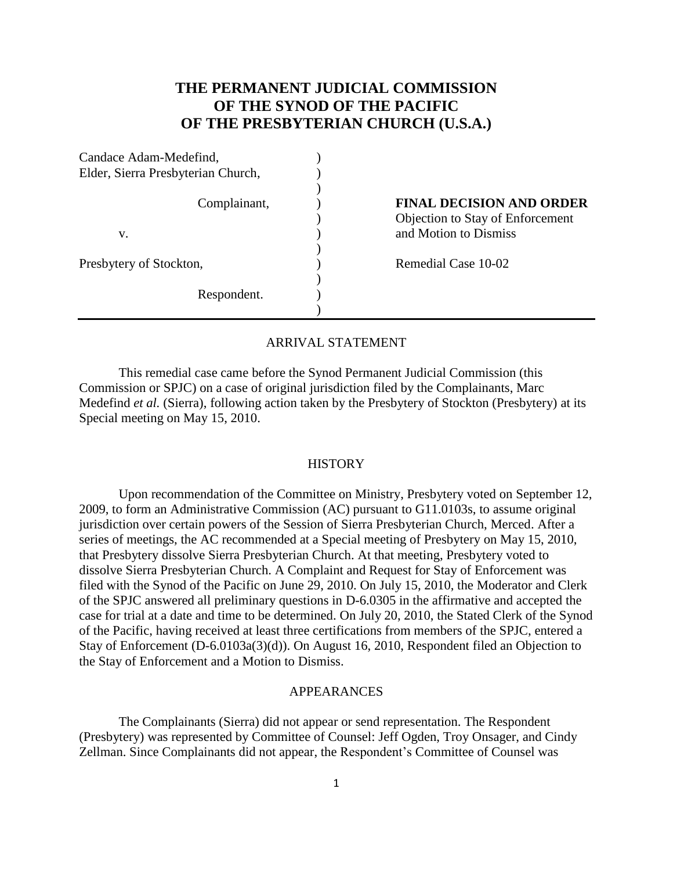# **THE PERMANENT JUDICIAL COMMISSION OF THE SYNOD OF THE PACIFIC OF THE PRESBYTERIAN CHURCH (U.S.A.)**

| Candace Adam-Medefind,             |                                  |
|------------------------------------|----------------------------------|
| Elder, Sierra Presbyterian Church, |                                  |
| Complainant,                       | <b>FINAL DECISION AND ORDER</b>  |
|                                    | Objection to Stay of Enforcement |
| v.                                 | and Motion to Dismiss            |
| Presbytery of Stockton,            | Remedial Case 10-02              |
| Respondent.                        |                                  |
|                                    |                                  |

#### ARRIVAL STATEMENT

This remedial case came before the Synod Permanent Judicial Commission (this Commission or SPJC) on a case of original jurisdiction filed by the Complainants, Marc Medefind *et al.* (Sierra), following action taken by the Presbytery of Stockton (Presbytery) at its Special meeting on May 15, 2010.

#### **HISTORY**

Upon recommendation of the Committee on Ministry, Presbytery voted on September 12, 2009, to form an Administrative Commission (AC) pursuant to G11.0103s, to assume original jurisdiction over certain powers of the Session of Sierra Presbyterian Church, Merced. After a series of meetings, the AC recommended at a Special meeting of Presbytery on May 15, 2010, that Presbytery dissolve Sierra Presbyterian Church. At that meeting, Presbytery voted to dissolve Sierra Presbyterian Church. A Complaint and Request for Stay of Enforcement was filed with the Synod of the Pacific on June 29, 2010. On July 15, 2010, the Moderator and Clerk of the SPJC answered all preliminary questions in D-6.0305 in the affirmative and accepted the case for trial at a date and time to be determined. On July 20, 2010, the Stated Clerk of the Synod of the Pacific, having received at least three certifications from members of the SPJC, entered a Stay of Enforcement (D-6.0103a(3)(d)). On August 16, 2010, Respondent filed an Objection to the Stay of Enforcement and a Motion to Dismiss.

## APPEARANCES

The Complainants (Sierra) did not appear or send representation. The Respondent (Presbytery) was represented by Committee of Counsel: Jeff Ogden, Troy Onsager, and Cindy Zellman. Since Complainants did not appear, the Respondent's Committee of Counsel was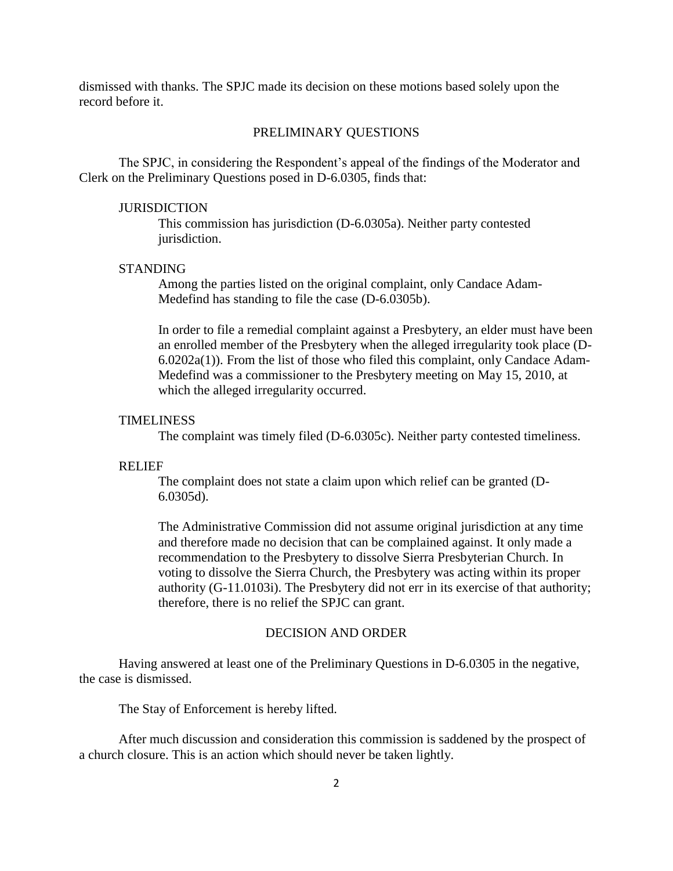dismissed with thanks. The SPJC made its decision on these motions based solely upon the record before it.

## PRELIMINARY QUESTIONS

The SPJC, in considering the Respondent's appeal of the findings of the Moderator and Clerk on the Preliminary Questions posed in D-6.0305, finds that:

## **JURISDICTION**

This commission has jurisdiction (D-6.0305a). Neither party contested jurisdiction.

## STANDING

Among the parties listed on the original complaint, only Candace Adam-Medefind has standing to file the case (D-6.0305b).

In order to file a remedial complaint against a Presbytery, an elder must have been an enrolled member of the Presbytery when the alleged irregularity took place (D-6.0202a(1)). From the list of those who filed this complaint, only Candace Adam-Medefind was a commissioner to the Presbytery meeting on May 15, 2010, at which the alleged irregularity occurred.

#### TIMELINESS

The complaint was timely filed (D-6.0305c). Neither party contested timeliness.

## RELIEF

The complaint does not state a claim upon which relief can be granted (D-6.0305d).

The Administrative Commission did not assume original jurisdiction at any time and therefore made no decision that can be complained against. It only made a recommendation to the Presbytery to dissolve Sierra Presbyterian Church. In voting to dissolve the Sierra Church, the Presbytery was acting within its proper authority (G-11.0103i). The Presbytery did not err in its exercise of that authority; therefore, there is no relief the SPJC can grant.

#### DECISION AND ORDER

Having answered at least one of the Preliminary Questions in D-6.0305 in the negative, the case is dismissed.

The Stay of Enforcement is hereby lifted.

After much discussion and consideration this commission is saddened by the prospect of a church closure. This is an action which should never be taken lightly.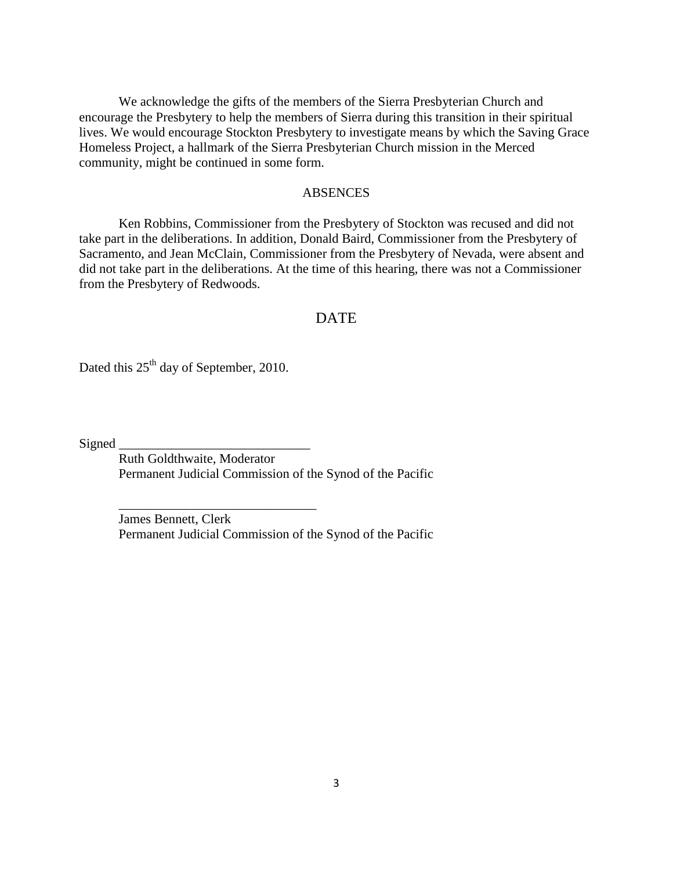We acknowledge the gifts of the members of the Sierra Presbyterian Church and encourage the Presbytery to help the members of Sierra during this transition in their spiritual lives. We would encourage Stockton Presbytery to investigate means by which the Saving Grace Homeless Project, a hallmark of the Sierra Presbyterian Church mission in the Merced community, might be continued in some form.

## ABSENCES

Ken Robbins, Commissioner from the Presbytery of Stockton was recused and did not take part in the deliberations. In addition, Donald Baird, Commissioner from the Presbytery of Sacramento, and Jean McClain, Commissioner from the Presbytery of Nevada, were absent and did not take part in the deliberations. At the time of this hearing, there was not a Commissioner from the Presbytery of Redwoods.

# DATE

Dated this  $25<sup>th</sup>$  day of September, 2010.

\_\_\_\_\_\_\_\_\_\_\_\_\_\_\_\_\_\_\_\_\_\_\_\_\_\_\_\_\_\_

Signed  $\overline{\phantom{a}}$ 

Ruth Goldthwaite, Moderator Permanent Judicial Commission of the Synod of the Pacific

James Bennett, Clerk Permanent Judicial Commission of the Synod of the Pacific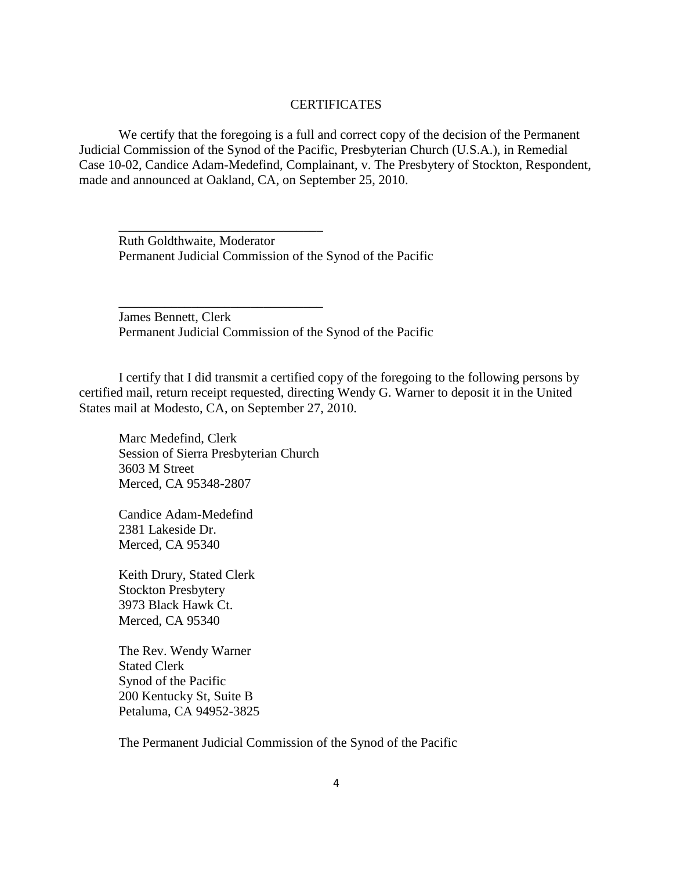## CERTIFICATES

We certify that the foregoing is a full and correct copy of the decision of the Permanent Judicial Commission of the Synod of the Pacific, Presbyterian Church (U.S.A.), in Remedial Case 10-02, Candice Adam-Medefind, Complainant, v. The Presbytery of Stockton, Respondent, made and announced at Oakland, CA, on September 25, 2010.

Ruth Goldthwaite, Moderator Permanent Judicial Commission of the Synod of the Pacific

James Bennett, Clerk Permanent Judicial Commission of the Synod of the Pacific

I certify that I did transmit a certified copy of the foregoing to the following persons by certified mail, return receipt requested, directing Wendy G. Warner to deposit it in the United States mail at Modesto, CA, on September 27, 2010.

Marc Medefind, Clerk Session of Sierra Presbyterian Church 3603 M Street Merced, CA 95348-2807

\_\_\_\_\_\_\_\_\_\_\_\_\_\_\_\_\_\_\_\_\_\_\_\_\_\_\_\_\_\_\_

\_\_\_\_\_\_\_\_\_\_\_\_\_\_\_\_\_\_\_\_\_\_\_\_\_\_\_\_\_\_\_

Candice Adam-Medefind 2381 Lakeside Dr. Merced, CA 95340

Keith Drury, Stated Clerk Stockton Presbytery 3973 Black Hawk Ct. Merced, CA 95340

The Rev. Wendy Warner Stated Clerk Synod of the Pacific 200 Kentucky St, Suite B Petaluma, CA 94952-3825

The Permanent Judicial Commission of the Synod of the Pacific